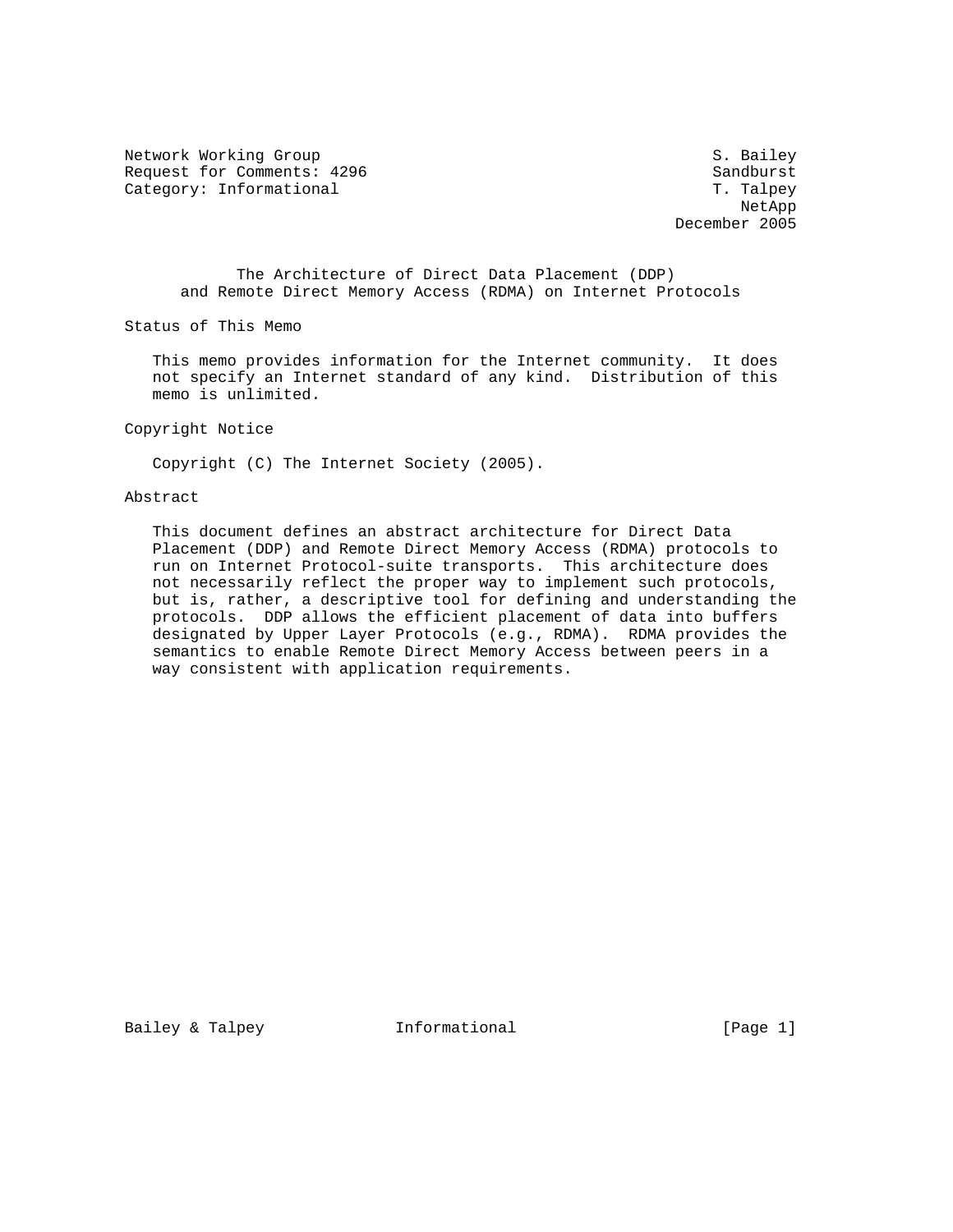Network Working Group S. Bailey Request for Comments: 4296 Sandburst Sandburst Sandburst Sandburst Sandburst Sandburst Sandburst Sandburst Sandburst Sandburst Sandburst Sandburst Sandburst Sandburst Sandburst Sandburst Sandburst Sandburst Sandburst Sandb Category: Informational

Net App Net App Net App Net App Net App Net App Net App Net App Net App Net App Net App Net App Net App Net App Net App Net App Net App Net App Net App Net App Net App Net App Net App Net App Net App Net App Net App Net Ap December 2005

 The Architecture of Direct Data Placement (DDP) and Remote Direct Memory Access (RDMA) on Internet Protocols

Status of This Memo

 This memo provides information for the Internet community. It does not specify an Internet standard of any kind. Distribution of this memo is unlimited.

Copyright Notice

Copyright (C) The Internet Society (2005).

## Abstract

 This document defines an abstract architecture for Direct Data Placement (DDP) and Remote Direct Memory Access (RDMA) protocols to run on Internet Protocol-suite transports. This architecture does not necessarily reflect the proper way to implement such protocols, but is, rather, a descriptive tool for defining and understanding the protocols. DDP allows the efficient placement of data into buffers designated by Upper Layer Protocols (e.g., RDMA). RDMA provides the semantics to enable Remote Direct Memory Access between peers in a way consistent with application requirements.

Bailey & Talpey **Informational** [Page 1]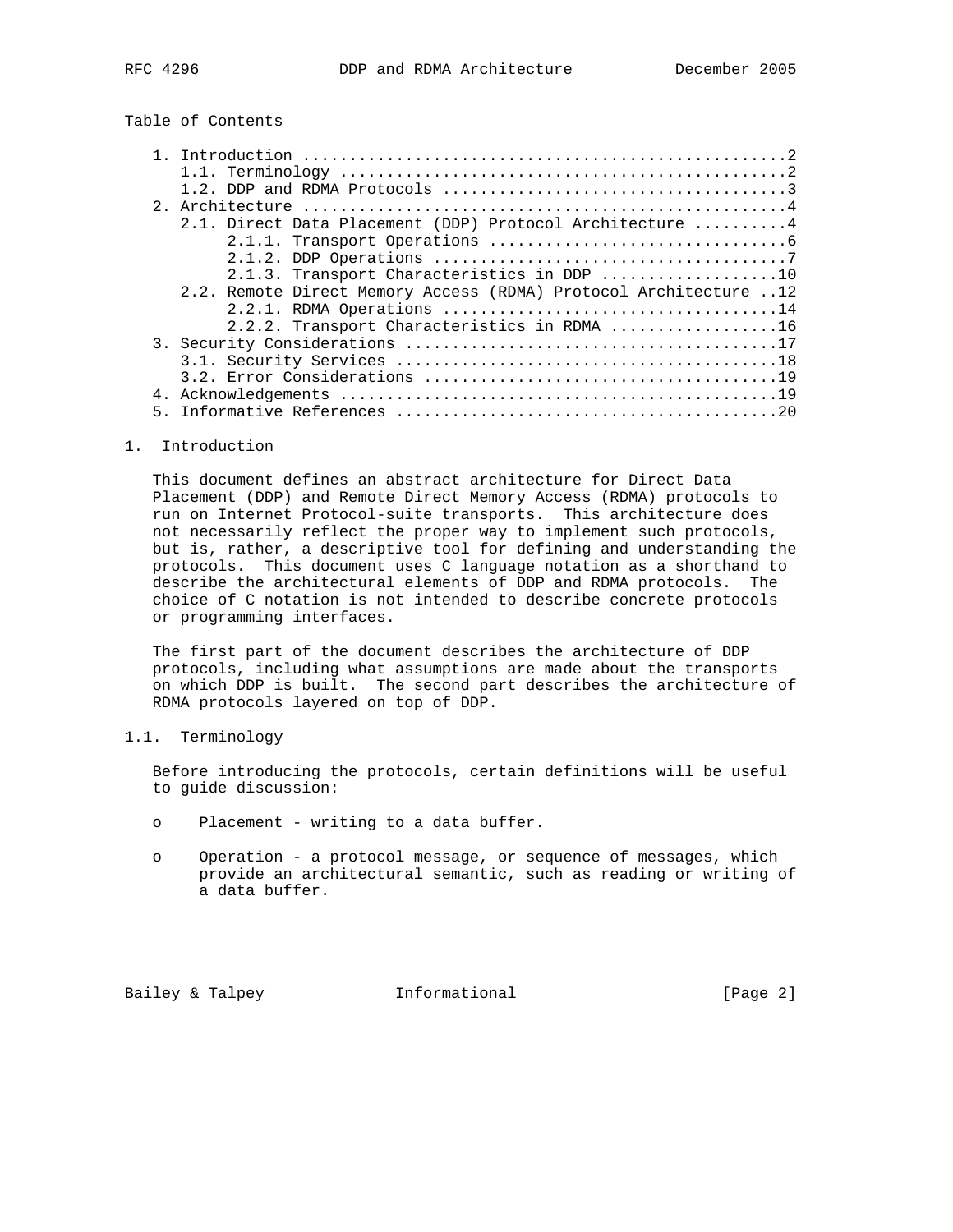## Table of Contents

|  | 2.1. Direct Data Placement (DDP) Protocol Architecture 4         |  |
|--|------------------------------------------------------------------|--|
|  |                                                                  |  |
|  |                                                                  |  |
|  | 2.1.3. Transport Characteristics in DDP 10                       |  |
|  | 2.2. Remote Direct Memory Access (RDMA) Protocol Architecture 12 |  |
|  |                                                                  |  |
|  | 2.2.2. Transport Characteristics in RDMA 16                      |  |
|  |                                                                  |  |
|  |                                                                  |  |
|  |                                                                  |  |
|  |                                                                  |  |
|  |                                                                  |  |

#### 1. Introduction

 This document defines an abstract architecture for Direct Data Placement (DDP) and Remote Direct Memory Access (RDMA) protocols to run on Internet Protocol-suite transports. This architecture does not necessarily reflect the proper way to implement such protocols, but is, rather, a descriptive tool for defining and understanding the protocols. This document uses C language notation as a shorthand to describe the architectural elements of DDP and RDMA protocols. The choice of C notation is not intended to describe concrete protocols or programming interfaces.

 The first part of the document describes the architecture of DDP protocols, including what assumptions are made about the transports on which DDP is built. The second part describes the architecture of RDMA protocols layered on top of DDP.

## 1.1. Terminology

 Before introducing the protocols, certain definitions will be useful to guide discussion:

- o Placement writing to a data buffer.
- o Operation a protocol message, or sequence of messages, which provide an architectural semantic, such as reading or writing of a data buffer.

Bailey & Talpey **Informational** [Page 2]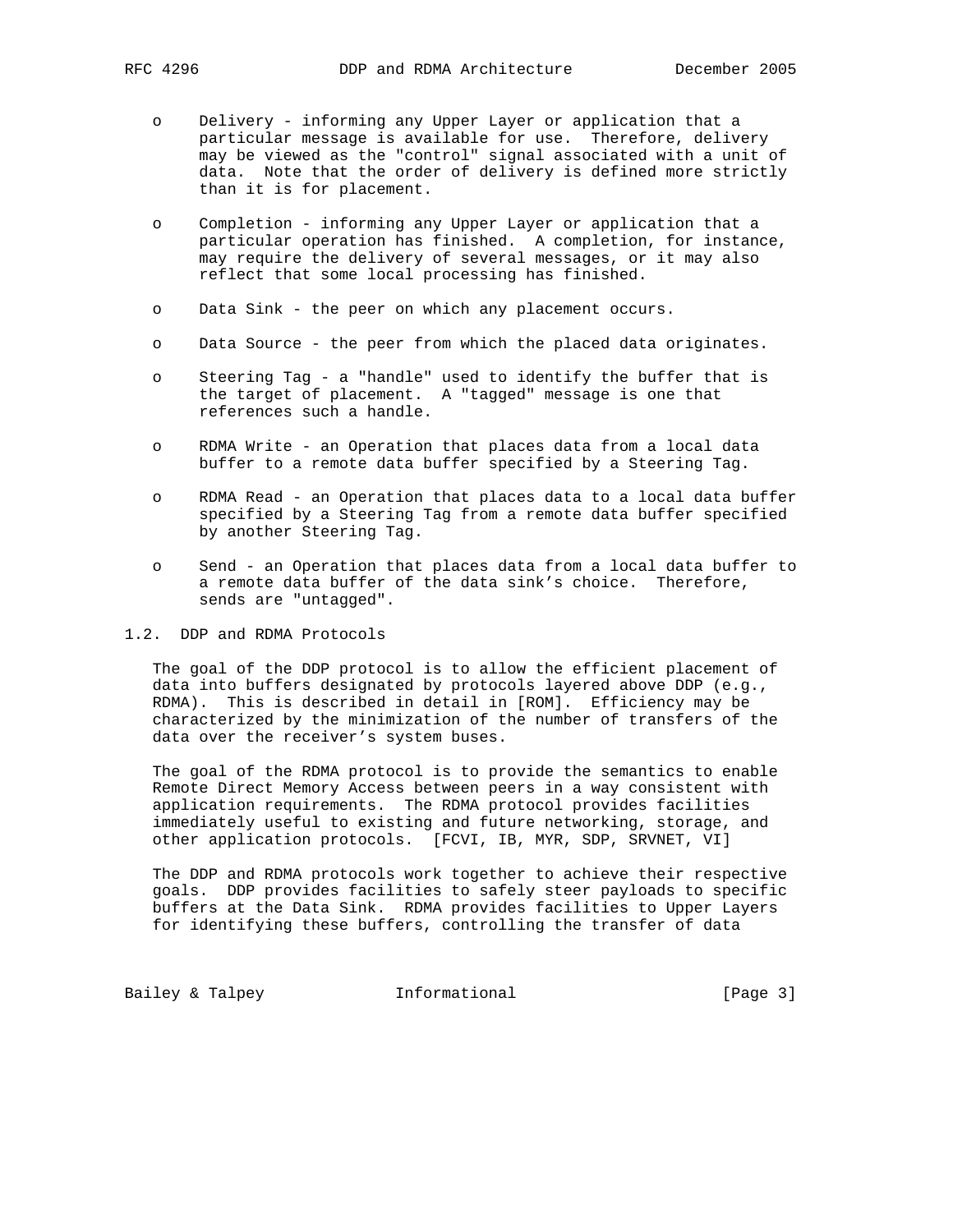- o Delivery informing any Upper Layer or application that a particular message is available for use. Therefore, delivery may be viewed as the "control" signal associated with a unit of data. Note that the order of delivery is defined more strictly than it is for placement.
- o Completion informing any Upper Layer or application that a particular operation has finished. A completion, for instance, may require the delivery of several messages, or it may also reflect that some local processing has finished.
- o Data Sink the peer on which any placement occurs.
- o Data Source the peer from which the placed data originates.
- o Steering Tag a "handle" used to identify the buffer that is the target of placement. A "tagged" message is one that references such a handle.
- o RDMA Write an Operation that places data from a local data buffer to a remote data buffer specified by a Steering Tag.
- o RDMA Read an Operation that places data to a local data buffer specified by a Steering Tag from a remote data buffer specified by another Steering Tag.
- o Send an Operation that places data from a local data buffer to a remote data buffer of the data sink's choice. Therefore, sends are "untagged".

1.2. DDP and RDMA Protocols

 The goal of the DDP protocol is to allow the efficient placement of data into buffers designated by protocols layered above DDP (e.g., RDMA). This is described in detail in [ROM]. Efficiency may be characterized by the minimization of the number of transfers of the data over the receiver's system buses.

 The goal of the RDMA protocol is to provide the semantics to enable Remote Direct Memory Access between peers in a way consistent with application requirements. The RDMA protocol provides facilities immediately useful to existing and future networking, storage, and other application protocols. [FCVI, IB, MYR, SDP, SRVNET, VI]

 The DDP and RDMA protocols work together to achieve their respective goals. DDP provides facilities to safely steer payloads to specific buffers at the Data Sink. RDMA provides facilities to Upper Layers for identifying these buffers, controlling the transfer of data

Bailey & Talpey **Informational** [Page 3]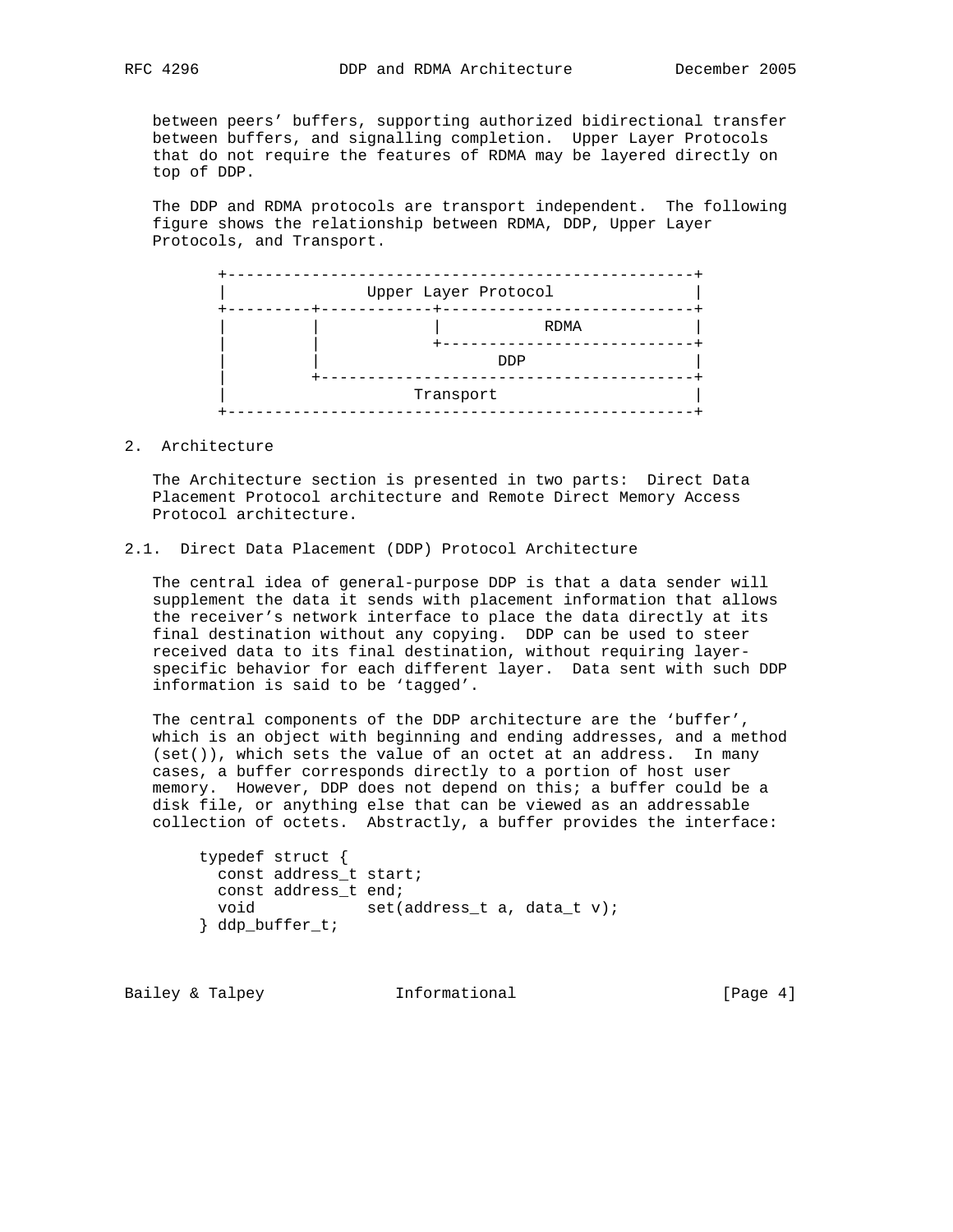between peers' buffers, supporting authorized bidirectional transfer between buffers, and signalling completion. Upper Layer Protocols that do not require the features of RDMA may be layered directly on top of DDP.

 The DDP and RDMA protocols are transport independent. The following figure shows the relationship between RDMA, DDP, Upper Layer Protocols, and Transport.

| Upper Layer Protocol |
|----------------------|
| RDMA                 |
| <b>DDP</b>           |
| Transport            |

2. Architecture

 The Architecture section is presented in two parts: Direct Data Placement Protocol architecture and Remote Direct Memory Access Protocol architecture.

## 2.1. Direct Data Placement (DDP) Protocol Architecture

 The central idea of general-purpose DDP is that a data sender will supplement the data it sends with placement information that allows the receiver's network interface to place the data directly at its final destination without any copying. DDP can be used to steer received data to its final destination, without requiring layer specific behavior for each different layer. Data sent with such DDP information is said to be 'tagged'.

 The central components of the DDP architecture are the 'buffer', which is an object with beginning and ending addresses, and a method (set()), which sets the value of an octet at an address. In many cases, a buffer corresponds directly to a portion of host user memory. However, DDP does not depend on this; a buffer could be a disk file, or anything else that can be viewed as an addressable collection of octets. Abstractly, a buffer provides the interface:

|               | typedef struct {       |                             |  |
|---------------|------------------------|-----------------------------|--|
|               | const address t start; |                             |  |
|               | const address t end;   |                             |  |
| void          |                        | set(address t a, data t v); |  |
| ddp buffer t; |                        |                             |  |

Bailey & Talpey **Informational** [Page 4]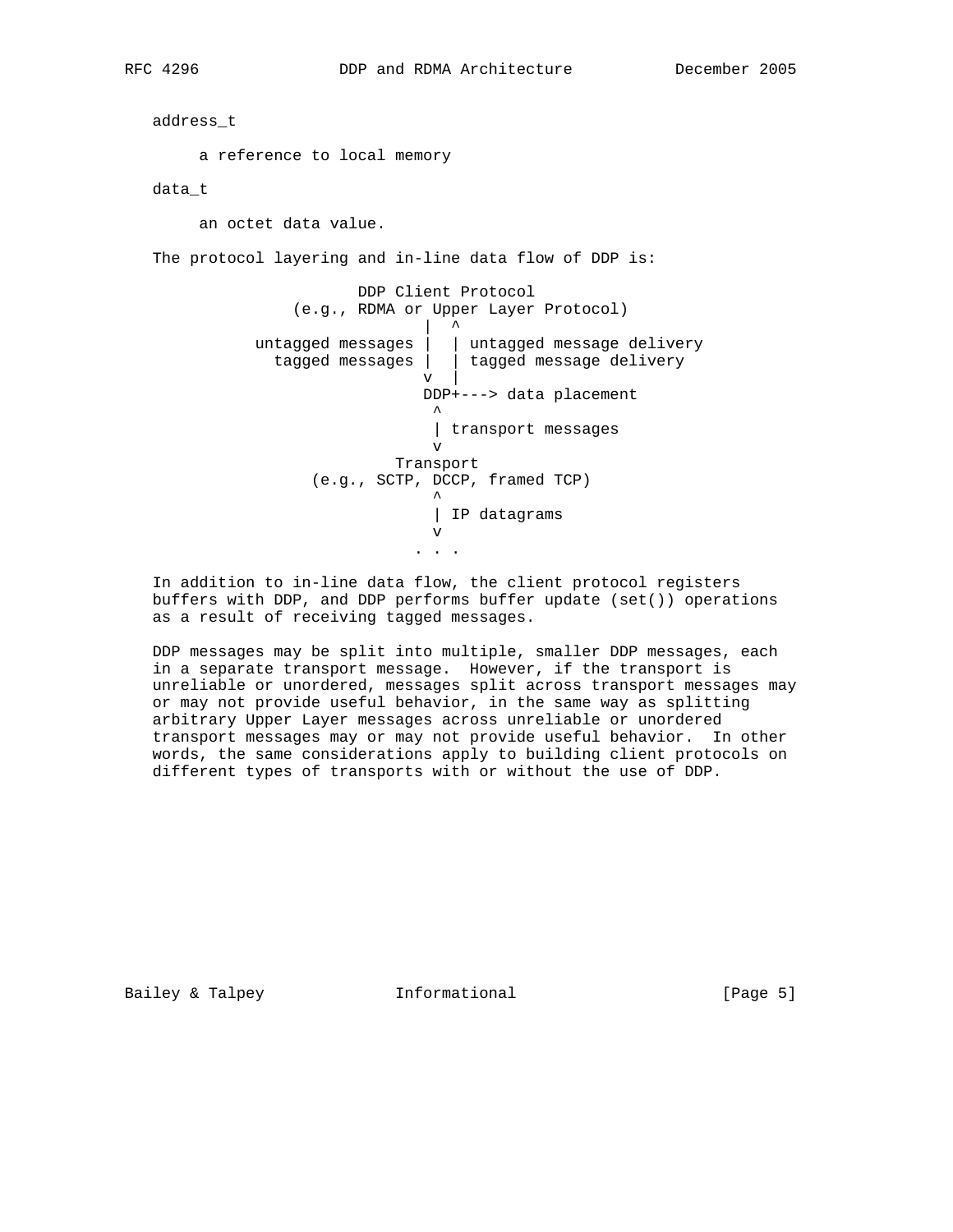address\_t

a reference to local memory

data\_t

an octet data value.

The protocol layering and in-line data flow of DDP is:

 DDP Client Protocol (e.g., RDMA or Upper Layer Protocol) | ^ untagged messages | | untagged message delivery tagged messages | | tagged message delivery  $\mathbf{v}$  |  $\mathbf{v}$  |  $\mathbf{v}$  |  $\mathbf{v}$  DDP+---> data placement ^ | transport messages v Transport (e.g., SCTP, DCCP, framed TCP) ^ | IP datagrams v . . .

 In addition to in-line data flow, the client protocol registers buffers with DDP, and DDP performs buffer update (set()) operations as a result of receiving tagged messages.

 DDP messages may be split into multiple, smaller DDP messages, each in a separate transport message. However, if the transport is unreliable or unordered, messages split across transport messages may or may not provide useful behavior, in the same way as splitting arbitrary Upper Layer messages across unreliable or unordered transport messages may or may not provide useful behavior. In other words, the same considerations apply to building client protocols on different types of transports with or without the use of DDP.

Bailey & Talpey **Informational** [Page 5]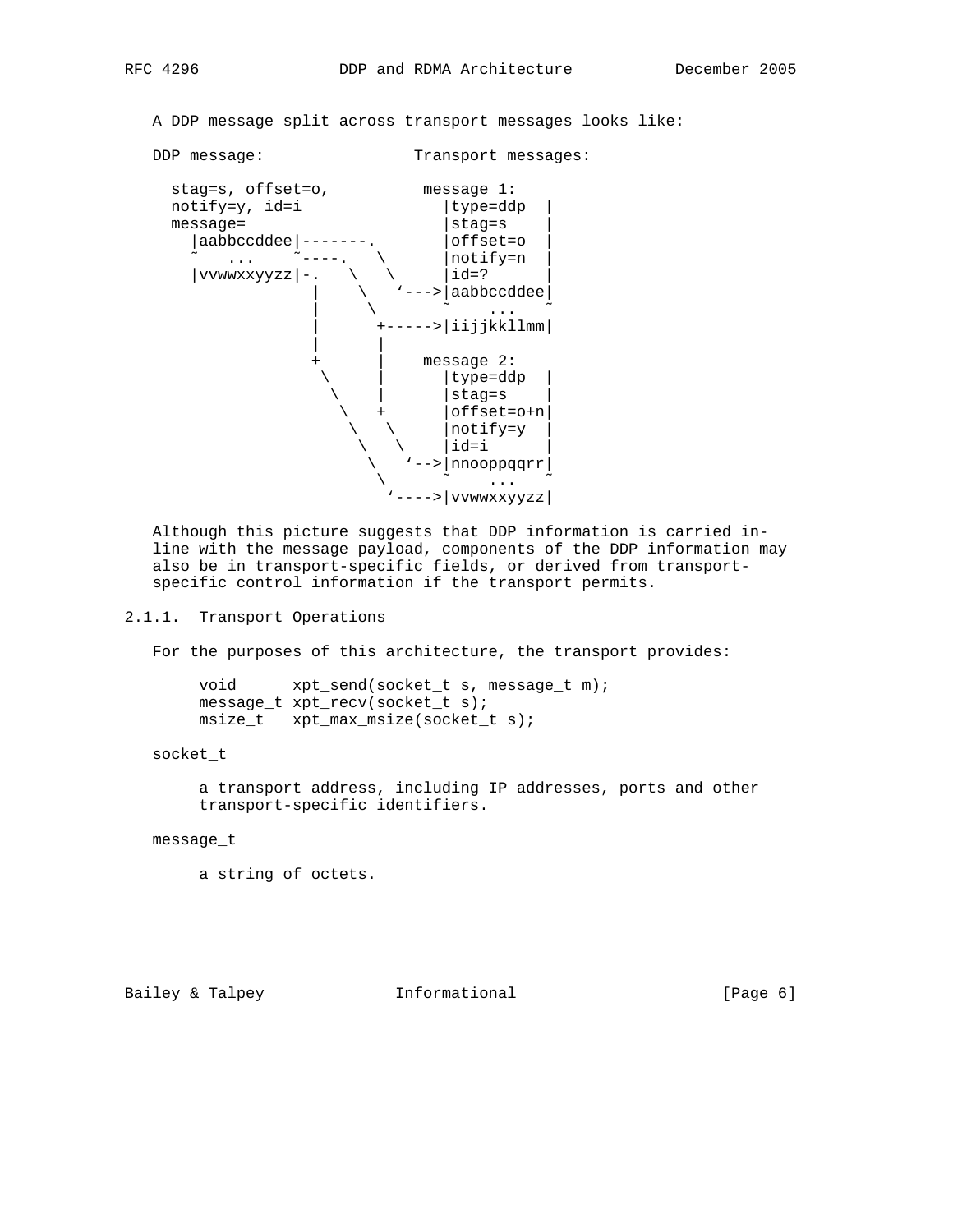A DDP message split across transport messages looks like:

DDP message: Transport messages:



 Although this picture suggests that DDP information is carried in line with the message payload, components of the DDP information may also be in transport-specific fields, or derived from transport specific control information if the transport permits.

## 2.1.1. Transport Operations

For the purposes of this architecture, the transport provides:

 void xpt\_send(socket\_t s, message\_t m); message\_t xpt\_recv(socket\_t s); msize\_t xpt\_max\_msize(socket\_t s);

#### socket\_t

 a transport address, including IP addresses, ports and other transport-specific identifiers.

#### message\_t

a string of octets.

Bailey & Talpey **Informational** [Page 6]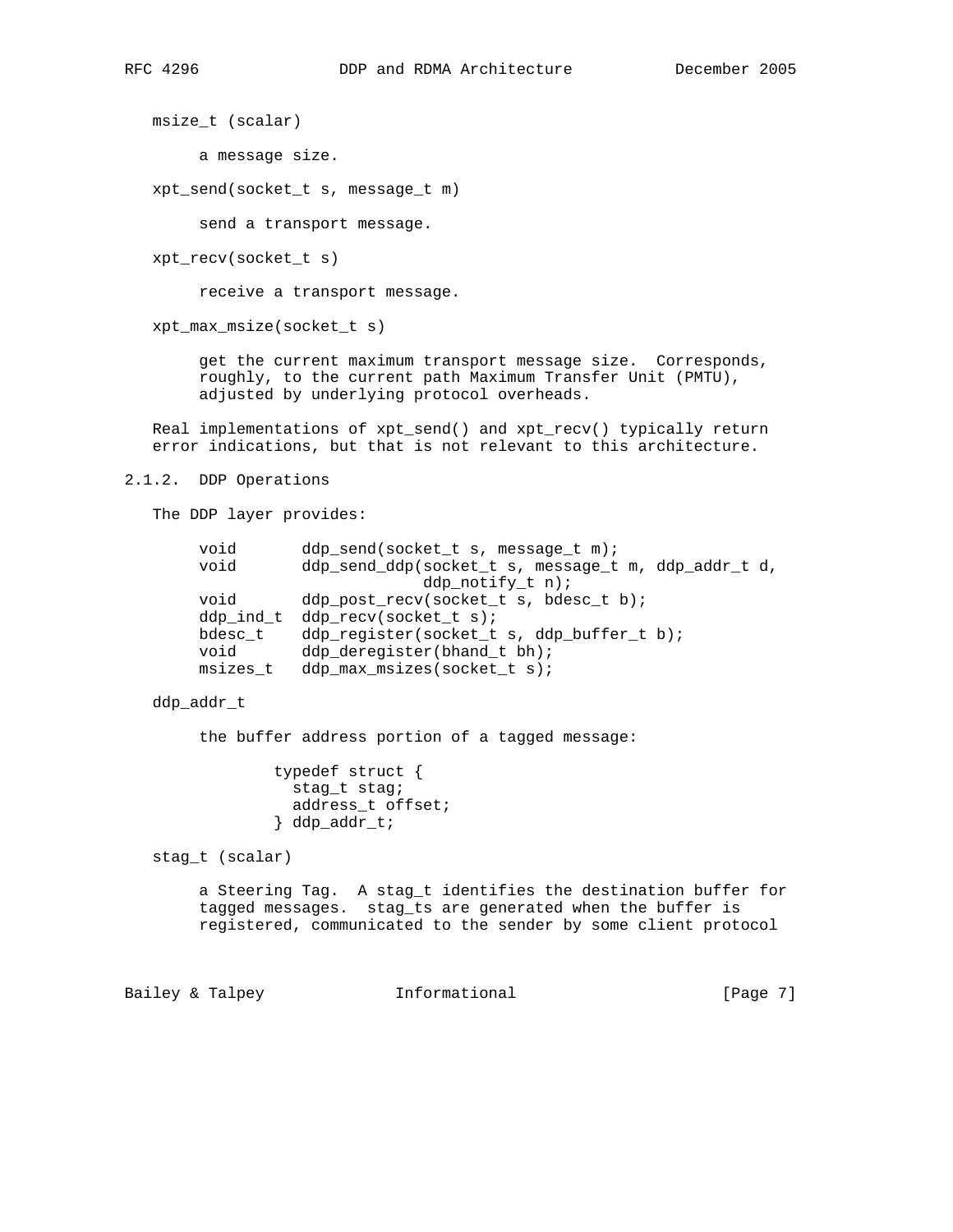msize\_t (scalar)

a message size.

xpt\_send(socket\_t s, message\_t m)

send a transport message.

xpt\_recv(socket\_t s)

receive a transport message.

xpt\_max\_msize(socket\_t s)

 get the current maximum transport message size. Corresponds, roughly, to the current path Maximum Transfer Unit (PMTU), adjusted by underlying protocol overheads.

 Real implementations of xpt\_send() and xpt\_recv() typically return error indications, but that is not relevant to this architecture.

2.1.2. DDP Operations

The DDP layer provides:

| void<br>void | ddp send(socket t s, message t m);<br>ddp_send_ddp(socket_t s, message_t m, ddp_addr_t d, |
|--------------|-------------------------------------------------------------------------------------------|
|              | ddp notify $t$ n);                                                                        |
| void         | ddp_post_recv(socket_t s, bdesc_t b);                                                     |
|              | ddp_ind_t ddp_recv(socket_t s);                                                           |
| bdesc t      | ddp_register(socket_t s, ddp_buffer_t b);                                                 |
| void         | ddp_deregister(bhand_t bh);                                                               |
| msizes t     | ddp max msizes(socket t s);                                                               |

## ddp\_addr\_t

the buffer address portion of a tagged message:

 typedef struct { stag\_t stag; address\_t offset; } ddp\_addr\_t;

stag\_t (scalar)

 a Steering Tag. A stag\_t identifies the destination buffer for tagged messages. stag\_ts are generated when the buffer is registered, communicated to the sender by some client protocol

Bailey & Talpey **Informational** [Page 7]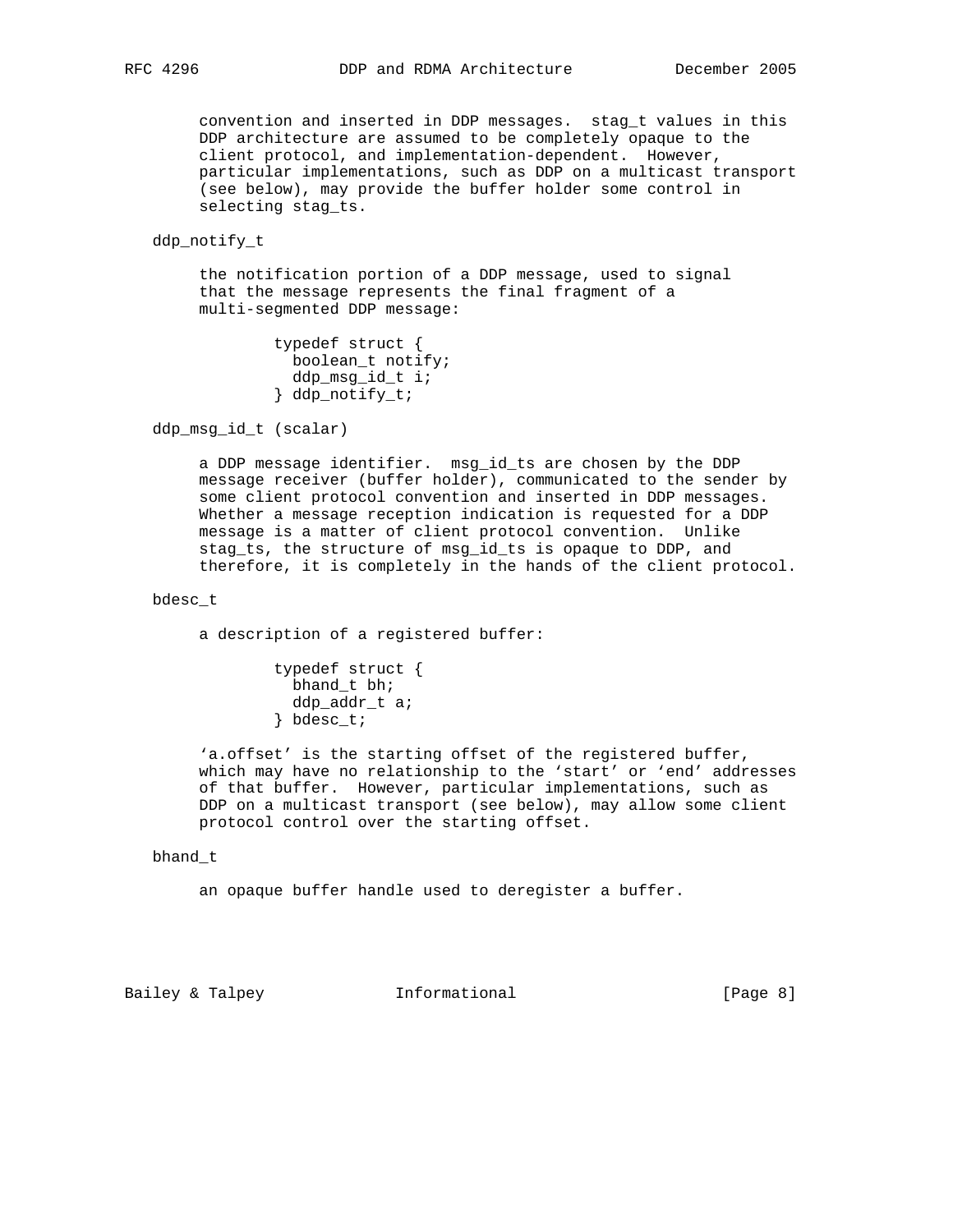convention and inserted in DDP messages. stag\_t values in this DDP architecture are assumed to be completely opaque to the client protocol, and implementation-dependent. However, particular implementations, such as DDP on a multicast transport (see below), may provide the buffer holder some control in selecting stag\_ts.

ddp\_notify\_t

 the notification portion of a DDP message, used to signal that the message represents the final fragment of a multi-segmented DDP message:

```
 typedef struct {
 boolean_t notify;
  ddp_msg_id_t i;
} ddp_notify_t;
```
ddp\_msg\_id\_t (scalar)

 a DDP message identifier. msg\_id\_ts are chosen by the DDP message receiver (buffer holder), communicated to the sender by some client protocol convention and inserted in DDP messages. Whether a message reception indication is requested for a DDP message is a matter of client protocol convention. Unlike stag\_ts, the structure of msg\_id\_ts is opaque to DDP, and therefore, it is completely in the hands of the client protocol.

## bdesc\_t

a description of a registered buffer:

 typedef struct { bhand t bh; ddp\_addr\_t a; } bdesc\_t;

 'a.offset' is the starting offset of the registered buffer, which may have no relationship to the 'start' or 'end' addresses of that buffer. However, particular implementations, such as DDP on a multicast transport (see below), may allow some client protocol control over the starting offset.

#### bhand\_t

an opaque buffer handle used to deregister a buffer.

Bailey & Talpey **Informational** [Page 8]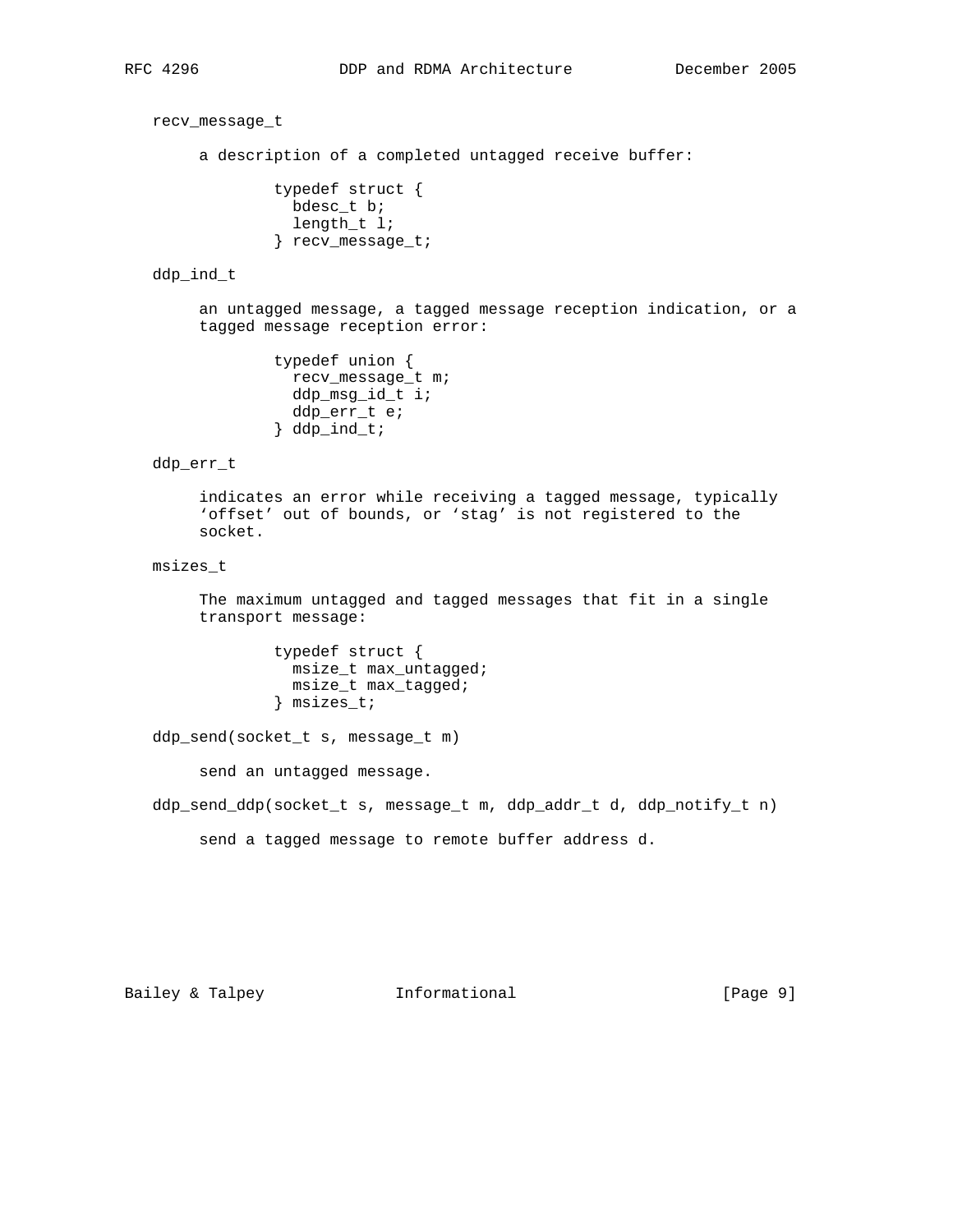recv\_message\_t

a description of a completed untagged receive buffer:

 typedef struct { bdesc\_t b; length\_t l; } recv\_message\_t;

#### ddp\_ind\_t

 an untagged message, a tagged message reception indication, or a tagged message reception error:

```
 typedef union {
 recv_message_t m;
 ddp_msg_id_t i;
 ddp_err_t e;
} ddp_ind_t;
```
## ddp\_err\_t

 indicates an error while receiving a tagged message, typically 'offset' out of bounds, or 'stag' is not registered to the socket.

## msizes\_t

 The maximum untagged and tagged messages that fit in a single transport message:

```
 typedef struct {
 msize_t max_untagged;
 msize_t max_tagged;
} msizes_t;
```
ddp\_send(socket\_t s, message\_t m)

send an untagged message.

ddp\_send\_ddp(socket\_t s, message\_t m, ddp\_addr\_t d, ddp\_notify\_t n)

send a tagged message to remote buffer address d.

Bailey & Talpey **Informational** [Page 9]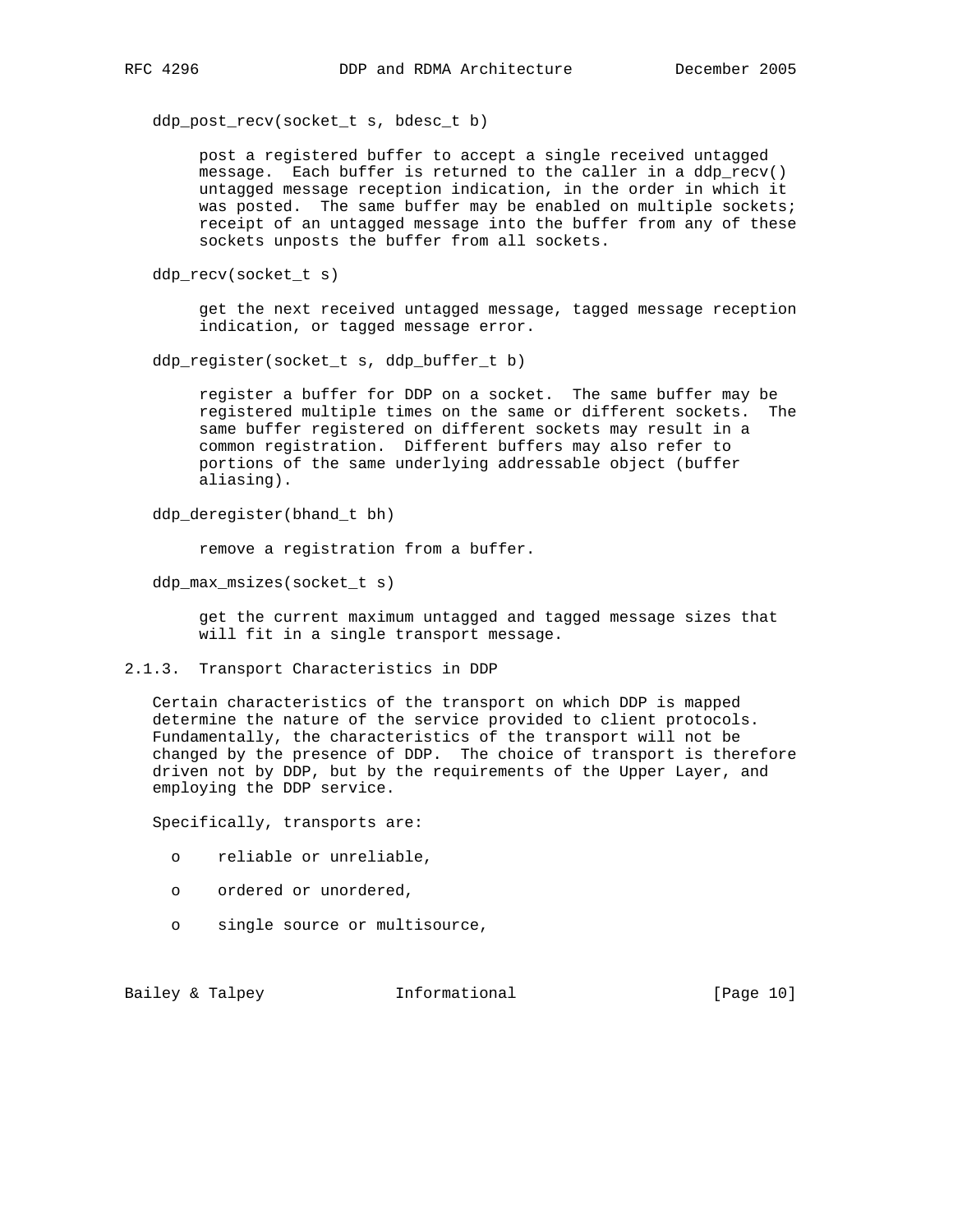ddp\_post\_recv(socket\_t s, bdesc\_t b)

 post a registered buffer to accept a single received untagged message. Each buffer is returned to the caller in a ddp\_recv() untagged message reception indication, in the order in which it was posted. The same buffer may be enabled on multiple sockets; receipt of an untagged message into the buffer from any of these sockets unposts the buffer from all sockets.

ddp\_recv(socket\_t s)

 get the next received untagged message, tagged message reception indication, or tagged message error.

ddp\_register(socket\_t s, ddp\_buffer\_t b)

 register a buffer for DDP on a socket. The same buffer may be registered multiple times on the same or different sockets. The same buffer registered on different sockets may result in a common registration. Different buffers may also refer to portions of the same underlying addressable object (buffer aliasing).

ddp\_deregister(bhand\_t bh)

remove a registration from a buffer.

ddp max msizes(socket t s)

 get the current maximum untagged and tagged message sizes that will fit in a single transport message.

2.1.3. Transport Characteristics in DDP

 Certain characteristics of the transport on which DDP is mapped determine the nature of the service provided to client protocols. Fundamentally, the characteristics of the transport will not be changed by the presence of DDP. The choice of transport is therefore driven not by DDP, but by the requirements of the Upper Layer, and employing the DDP service.

Specifically, transports are:

- o reliable or unreliable,
- o ordered or unordered,
- o single source or multisource,

Bailey & Talpey **Informational** [Page 10]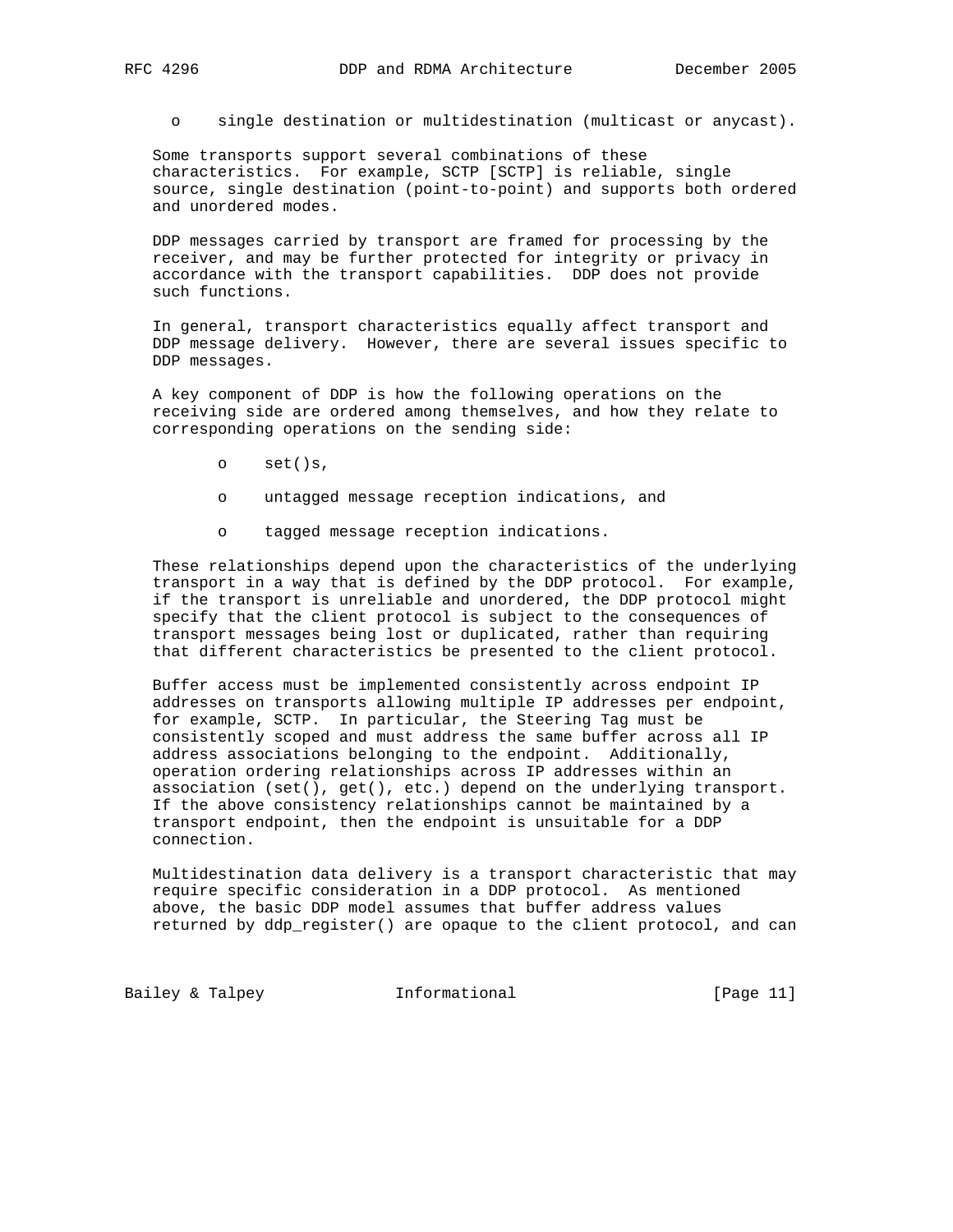o single destination or multidestination (multicast or anycast).

 Some transports support several combinations of these characteristics. For example, SCTP [SCTP] is reliable, single source, single destination (point-to-point) and supports both ordered and unordered modes.

 DDP messages carried by transport are framed for processing by the receiver, and may be further protected for integrity or privacy in accordance with the transport capabilities. DDP does not provide such functions.

 In general, transport characteristics equally affect transport and DDP message delivery. However, there are several issues specific to DDP messages.

 A key component of DDP is how the following operations on the receiving side are ordered among themselves, and how they relate to corresponding operations on the sending side:

- o set()s,
- o untagged message reception indications, and
- o tagged message reception indications.

 These relationships depend upon the characteristics of the underlying transport in a way that is defined by the DDP protocol. For example, if the transport is unreliable and unordered, the DDP protocol might specify that the client protocol is subject to the consequences of transport messages being lost or duplicated, rather than requiring that different characteristics be presented to the client protocol.

 Buffer access must be implemented consistently across endpoint IP addresses on transports allowing multiple IP addresses per endpoint, for example, SCTP. In particular, the Steering Tag must be consistently scoped and must address the same buffer across all IP address associations belonging to the endpoint. Additionally, operation ordering relationships across IP addresses within an association (set(), get(), etc.) depend on the underlying transport. If the above consistency relationships cannot be maintained by a transport endpoint, then the endpoint is unsuitable for a DDP connection.

 Multidestination data delivery is a transport characteristic that may require specific consideration in a DDP protocol. As mentioned above, the basic DDP model assumes that buffer address values returned by ddp\_register() are opaque to the client protocol, and can

Bailey & Talpey **Informational** [Page 11]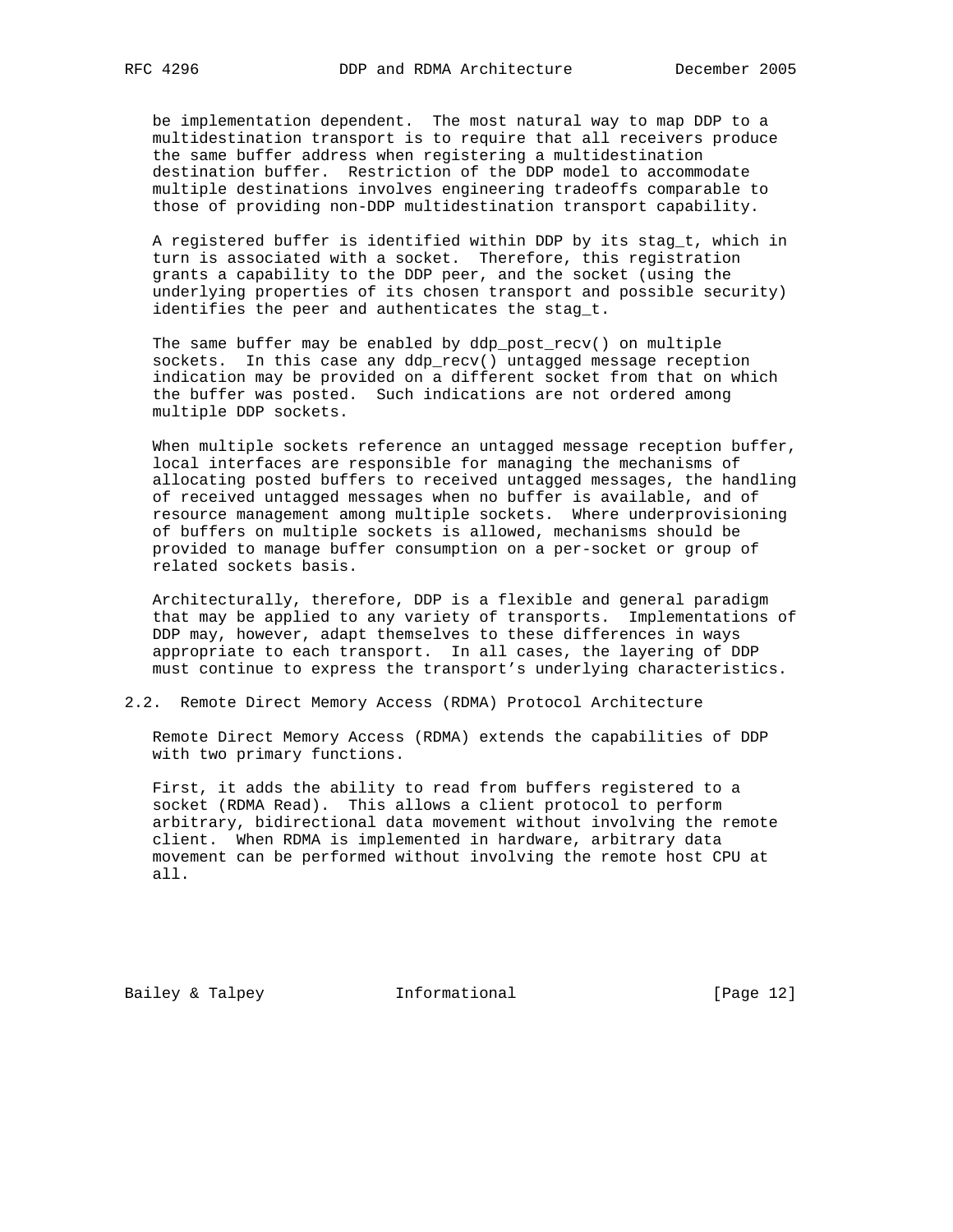be implementation dependent. The most natural way to map DDP to a multidestination transport is to require that all receivers produce the same buffer address when registering a multidestination destination buffer. Restriction of the DDP model to accommodate multiple destinations involves engineering tradeoffs comparable to those of providing non-DDP multidestination transport capability.

 A registered buffer is identified within DDP by its stag\_t, which in turn is associated with a socket. Therefore, this registration grants a capability to the DDP peer, and the socket (using the underlying properties of its chosen transport and possible security) identifies the peer and authenticates the stag\_t.

 The same buffer may be enabled by ddp\_post\_recv() on multiple sockets. In this case any ddp\_recv() untagged message reception indication may be provided on a different socket from that on which the buffer was posted. Such indications are not ordered among multiple DDP sockets.

When multiple sockets reference an untagged message reception buffer, local interfaces are responsible for managing the mechanisms of allocating posted buffers to received untagged messages, the handling of received untagged messages when no buffer is available, and of resource management among multiple sockets. Where underprovisioning of buffers on multiple sockets is allowed, mechanisms should be provided to manage buffer consumption on a per-socket or group of related sockets basis.

 Architecturally, therefore, DDP is a flexible and general paradigm that may be applied to any variety of transports. Implementations of DDP may, however, adapt themselves to these differences in ways appropriate to each transport. In all cases, the layering of DDP must continue to express the transport's underlying characteristics.

2.2. Remote Direct Memory Access (RDMA) Protocol Architecture

 Remote Direct Memory Access (RDMA) extends the capabilities of DDP with two primary functions.

 First, it adds the ability to read from buffers registered to a socket (RDMA Read). This allows a client protocol to perform arbitrary, bidirectional data movement without involving the remote client. When RDMA is implemented in hardware, arbitrary data movement can be performed without involving the remote host CPU at all.

Bailey & Talpey **Informational** [Page 12]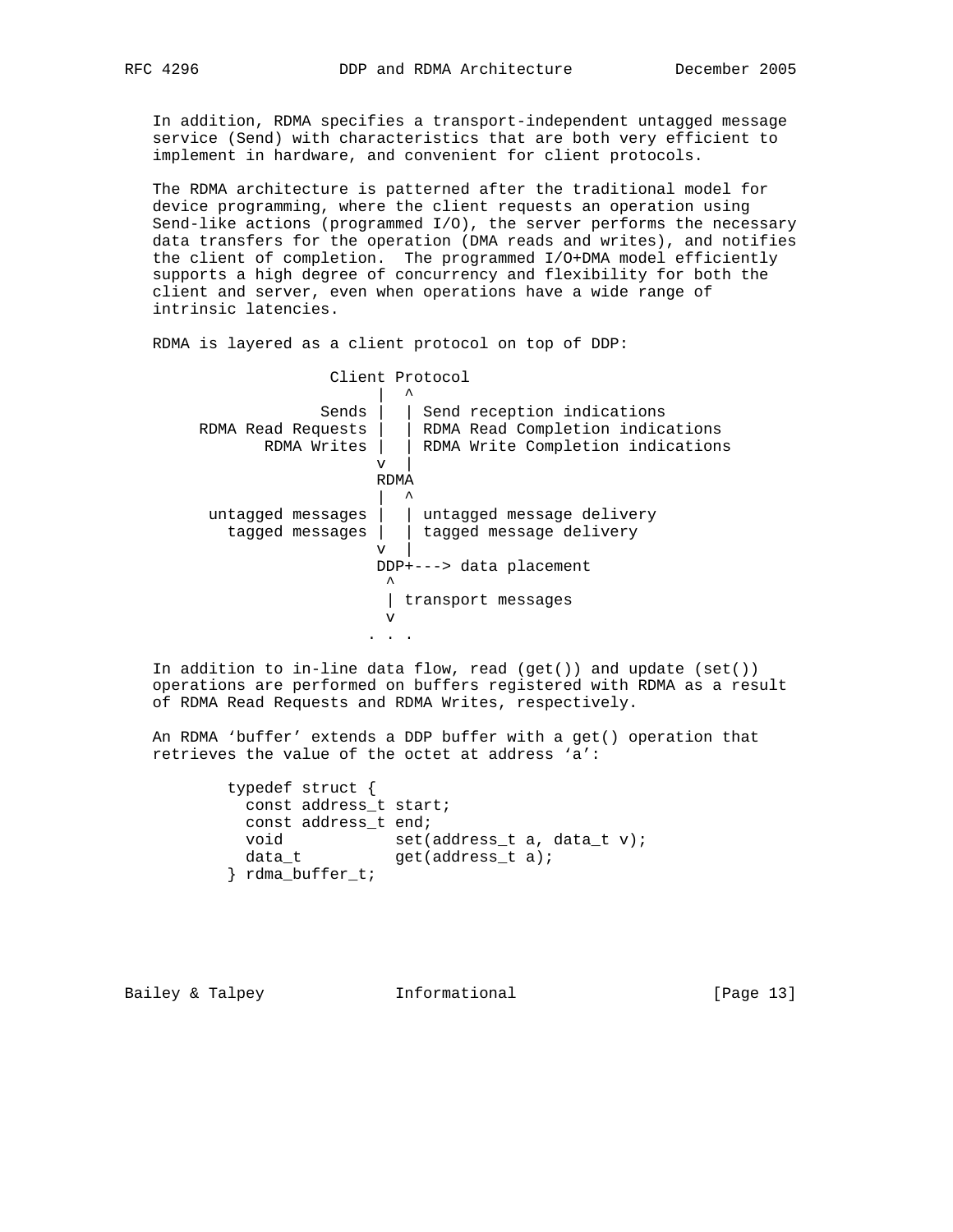In addition, RDMA specifies a transport-independent untagged message service (Send) with characteristics that are both very efficient to implement in hardware, and convenient for client protocols.

 The RDMA architecture is patterned after the traditional model for device programming, where the client requests an operation using Send-like actions (programmed I/O), the server performs the necessary data transfers for the operation (DMA reads and writes), and notifies the client of completion. The programmed I/O+DMA model efficiently supports a high degree of concurrency and flexibility for both the client and server, even when operations have a wide range of intrinsic latencies.

RDMA is layered as a client protocol on top of DDP:

 Client Protocol | ^ Sends | | Send reception indications RDMA Read Requests | | RDMA Read Completion indications RDMA Writes | | RDMA Write Completion indications  $\mathbf{v}$  | RDMA | ^ untagged messages | | untagged message delivery tagged messages | | tagged message delivery  $\mathbf{v}$  |  $\mathbf{v}$  DDP+---> data placement  $\mathcal{L}^{\mathcal{L}}$  and  $\mathcal{L}^{\mathcal{L}}$  and  $\mathcal{L}^{\mathcal{L}}$  and  $\mathcal{L}^{\mathcal{L}}$  | transport messages v . . .

 In addition to in-line data flow, read (get()) and update (set()) operations are performed on buffers registered with RDMA as a result of RDMA Read Requests and RDMA Writes, respectively.

 An RDMA 'buffer' extends a DDP buffer with a get() operation that retrieves the value of the octet at address 'a':

| typedef struct $\{$ |                                |
|---------------------|--------------------------------|
|                     | const address t start;         |
|                     | const address t end;           |
| void                | $set(address t a, data t v)$ ; |
| data t              | $qet(address t a)$ ;           |
| rdma_buffer_t;      |                                |

Bailey & Talpey **Informational** [Page 13]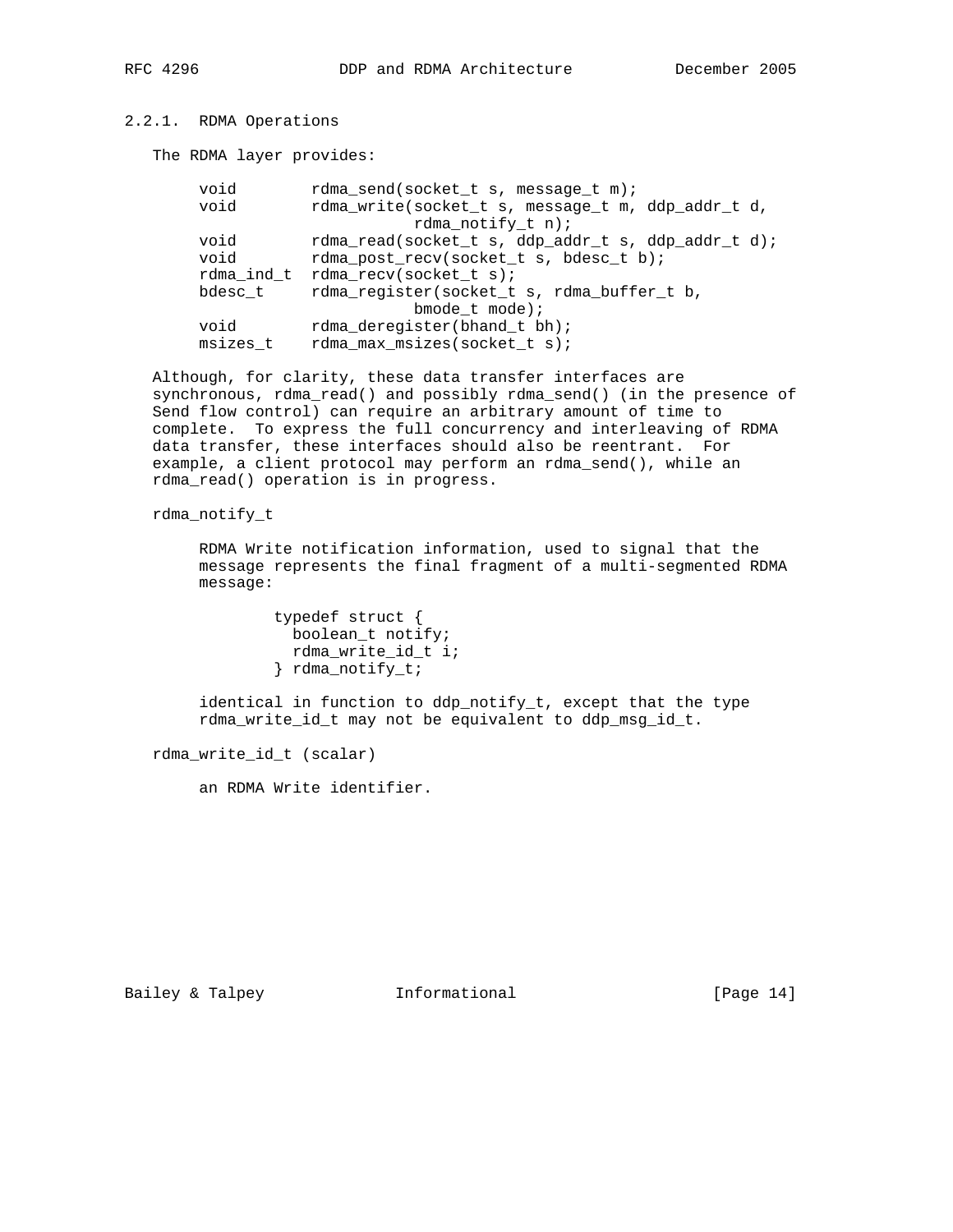# 2.2.1. RDMA Operations

The RDMA layer provides:

| void     | rdma_send(socket_t s, message_t m);                |
|----------|----------------------------------------------------|
| void     | rdma_write(socket_t s, message_t m, ddp_addr_t d,  |
|          | rdma notify $t$ n);                                |
| void     | rdma_read(socket_t s, ddp_addr_t s, ddp_addr_t d); |
| void     | rdma_post_recv(socket_t s, bdesc_t b);             |
|          | rdma_ind_t rdma_recv(socket_t s);                  |
| bdesc t  | rdma_register(socket_t s, rdma_buffer_t b,         |
|          | bmode $t$ mode);                                   |
| void     | rdma_deregister(bhand_t bh);                       |
| msizes t | rdma_max_msizes(socket_t s);                       |

 Although, for clarity, these data transfer interfaces are synchronous, rdma\_read() and possibly rdma\_send() (in the presence of Send flow control) can require an arbitrary amount of time to complete. To express the full concurrency and interleaving of RDMA data transfer, these interfaces should also be reentrant. For example, a client protocol may perform an rdma\_send(), while an rdma\_read() operation is in progress.

rdma\_notify\_t

 RDMA Write notification information, used to signal that the message represents the final fragment of a multi-segmented RDMA message:

> typedef struct { boolean\_t notify; rdma\_write\_id\_t i; } rdma\_notify\_t;

 identical in function to ddp\_notify\_t, except that the type rdma\_write\_id\_t may not be equivalent to ddp\_msg\_id\_t.

rdma\_write\_id\_t (scalar)

an RDMA Write identifier.

Bailey & Talpey **Informational** [Page 14]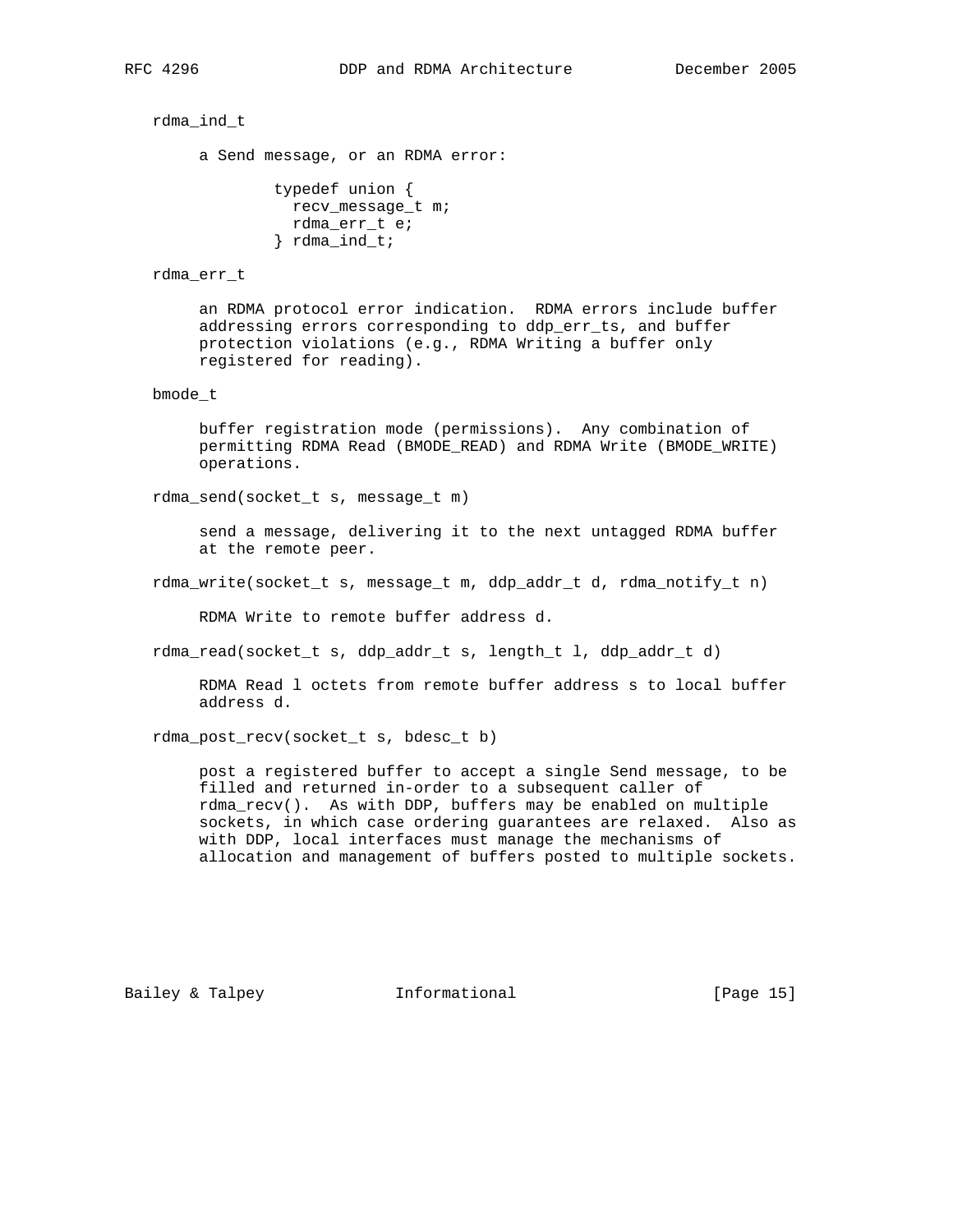rdma\_ind\_t

a Send message, or an RDMA error:

 typedef union { recv\_message\_t m; rdma\_err\_t e; } rdma\_ind\_t;

#### rdma\_err\_t

 an RDMA protocol error indication. RDMA errors include buffer addressing errors corresponding to ddp\_err\_ts, and buffer protection violations (e.g., RDMA Writing a buffer only registered for reading).

## bmode\_t

 buffer registration mode (permissions). Any combination of permitting RDMA Read (BMODE\_READ) and RDMA Write (BMODE\_WRITE) operations.

rdma\_send(socket\_t s, message\_t m)

 send a message, delivering it to the next untagged RDMA buffer at the remote peer.

rdma\_write(socket\_t s, message\_t m, ddp\_addr\_t d, rdma\_notify\_t n)

RDMA Write to remote buffer address d.

rdma\_read(socket\_t s, ddp\_addr\_t s, length\_t l, ddp\_addr\_t d)

 RDMA Read l octets from remote buffer address s to local buffer address d.

rdma\_post\_recv(socket\_t s, bdesc\_t b)

 post a registered buffer to accept a single Send message, to be filled and returned in-order to a subsequent caller of rdma\_recv(). As with DDP, buffers may be enabled on multiple sockets, in which case ordering guarantees are relaxed. Also as with DDP, local interfaces must manage the mechanisms of allocation and management of buffers posted to multiple sockets.

Bailey & Talpey **Informational** [Page 15]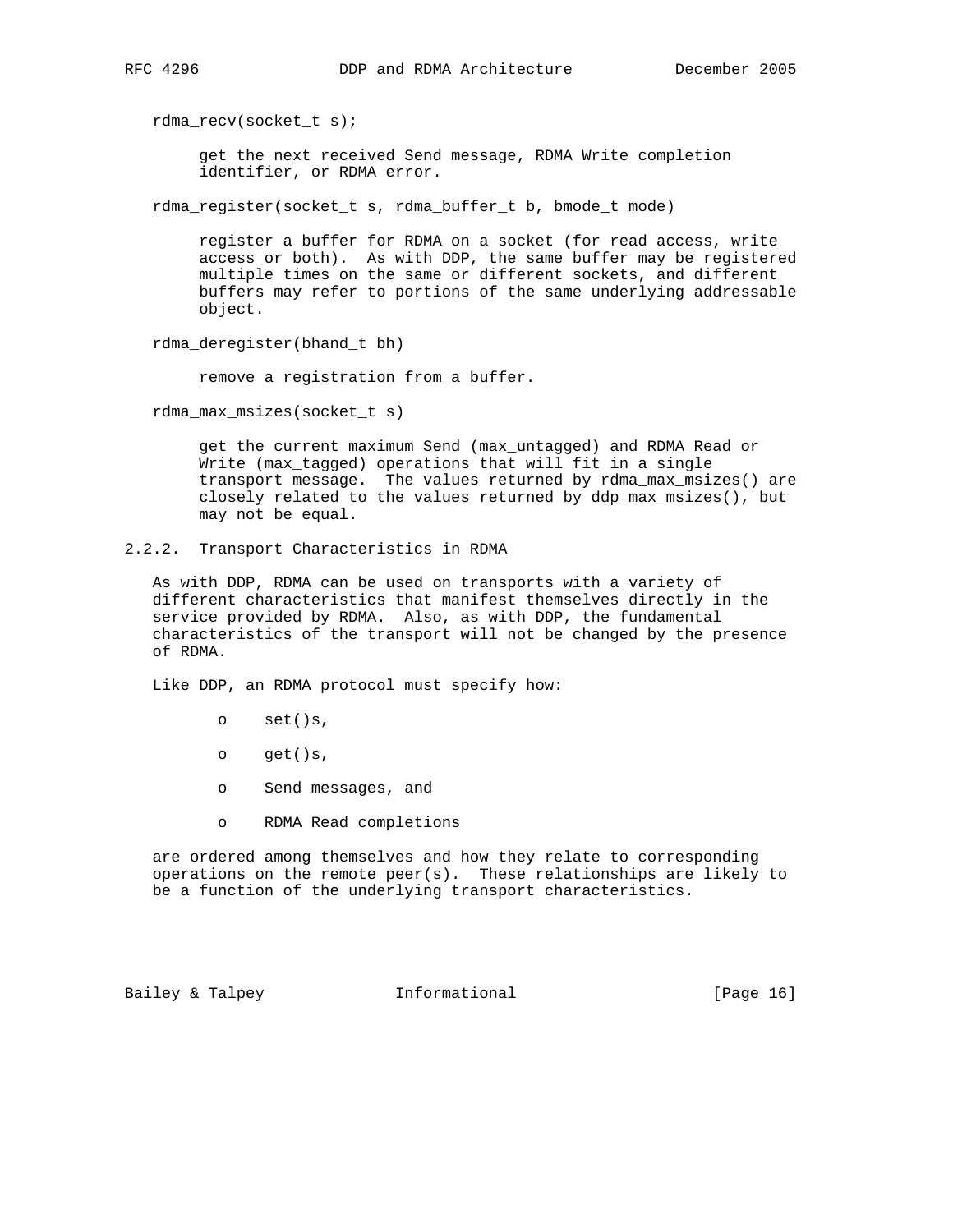rdma\_recv(socket\_t s);

 get the next received Send message, RDMA Write completion identifier, or RDMA error.

rdma\_register(socket\_t s, rdma\_buffer\_t b, bmode\_t mode)

 register a buffer for RDMA on a socket (for read access, write access or both). As with DDP, the same buffer may be registered multiple times on the same or different sockets, and different buffers may refer to portions of the same underlying addressable object.

rdma\_deregister(bhand\_t bh)

remove a registration from a buffer.

rdma\_max\_msizes(socket\_t s)

 get the current maximum Send (max\_untagged) and RDMA Read or Write (max\_tagged) operations that will fit in a single transport message. The values returned by rdma\_max\_msizes() are closely related to the values returned by ddp\_max\_msizes(), but may not be equal.

2.2.2. Transport Characteristics in RDMA

 As with DDP, RDMA can be used on transports with a variety of different characteristics that manifest themselves directly in the service provided by RDMA. Also, as with DDP, the fundamental characteristics of the transport will not be changed by the presence of RDMA.

Like DDP, an RDMA protocol must specify how:

- o set()s,
- o get()s,
- o Send messages, and
- o RDMA Read completions

 are ordered among themselves and how they relate to corresponding operations on the remote peer(s). These relationships are likely to be a function of the underlying transport characteristics.

Bailey & Talpey **Informational** [Page 16]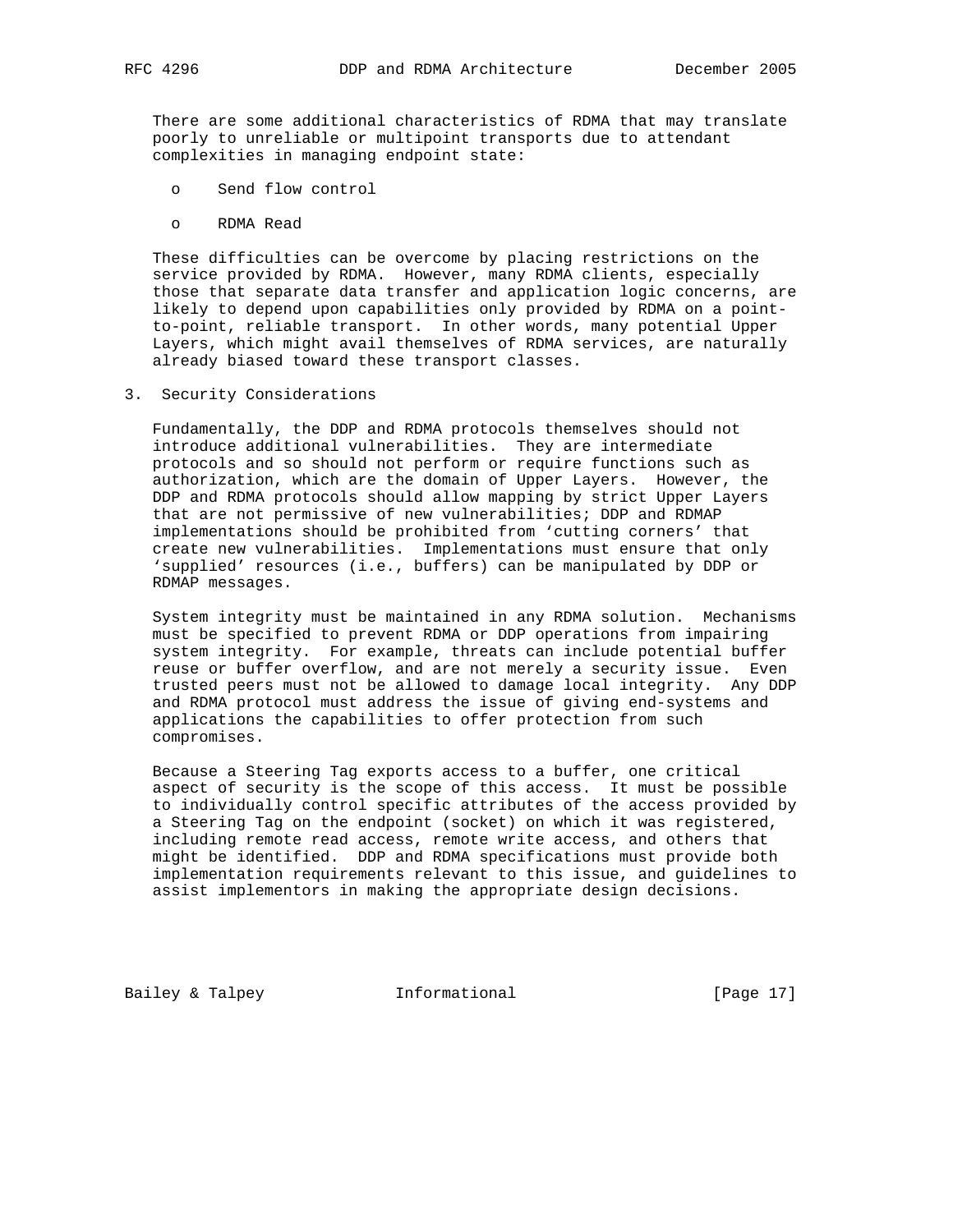There are some additional characteristics of RDMA that may translate poorly to unreliable or multipoint transports due to attendant complexities in managing endpoint state:

- o Send flow control
- o RDMA Read

 These difficulties can be overcome by placing restrictions on the service provided by RDMA. However, many RDMA clients, especially those that separate data transfer and application logic concerns, are likely to depend upon capabilities only provided by RDMA on a point to-point, reliable transport. In other words, many potential Upper Layers, which might avail themselves of RDMA services, are naturally already biased toward these transport classes.

3. Security Considerations

 Fundamentally, the DDP and RDMA protocols themselves should not introduce additional vulnerabilities. They are intermediate protocols and so should not perform or require functions such as authorization, which are the domain of Upper Layers. However, the DDP and RDMA protocols should allow mapping by strict Upper Layers that are not permissive of new vulnerabilities; DDP and RDMAP implementations should be prohibited from 'cutting corners' that create new vulnerabilities. Implementations must ensure that only 'supplied' resources (i.e., buffers) can be manipulated by DDP or RDMAP messages.

 System integrity must be maintained in any RDMA solution. Mechanisms must be specified to prevent RDMA or DDP operations from impairing system integrity. For example, threats can include potential buffer reuse or buffer overflow, and are not merely a security issue. Even trusted peers must not be allowed to damage local integrity. Any DDP and RDMA protocol must address the issue of giving end-systems and applications the capabilities to offer protection from such compromises.

 Because a Steering Tag exports access to a buffer, one critical aspect of security is the scope of this access. It must be possible to individually control specific attributes of the access provided by a Steering Tag on the endpoint (socket) on which it was registered, including remote read access, remote write access, and others that might be identified. DDP and RDMA specifications must provide both implementation requirements relevant to this issue, and guidelines to assist implementors in making the appropriate design decisions.

Bailey & Talpey **Informational** [Page 17]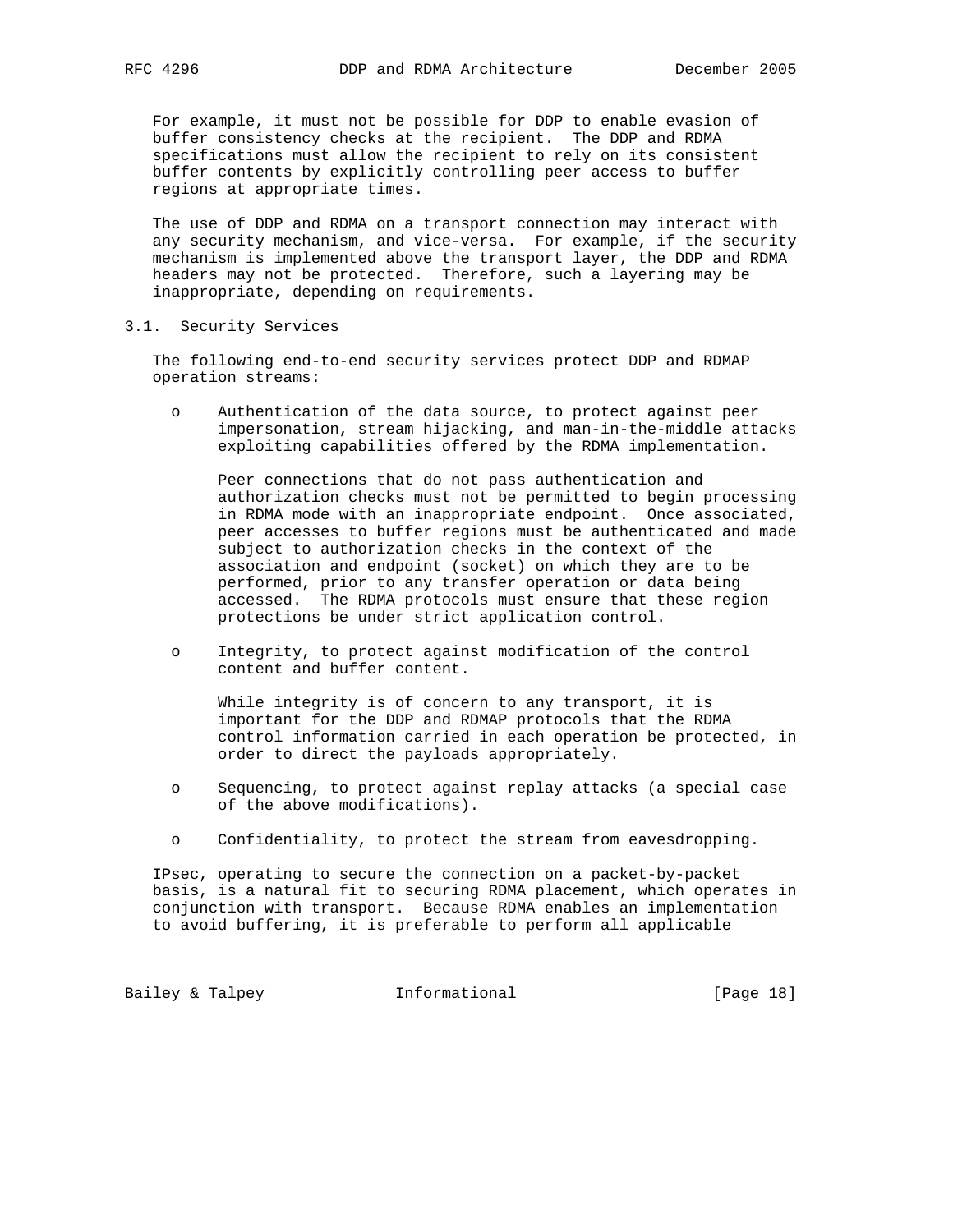For example, it must not be possible for DDP to enable evasion of buffer consistency checks at the recipient. The DDP and RDMA specifications must allow the recipient to rely on its consistent buffer contents by explicitly controlling peer access to buffer regions at appropriate times.

 The use of DDP and RDMA on a transport connection may interact with any security mechanism, and vice-versa. For example, if the security mechanism is implemented above the transport layer, the DDP and RDMA headers may not be protected. Therefore, such a layering may be inappropriate, depending on requirements.

## 3.1. Security Services

 The following end-to-end security services protect DDP and RDMAP operation streams:

 o Authentication of the data source, to protect against peer impersonation, stream hijacking, and man-in-the-middle attacks exploiting capabilities offered by the RDMA implementation.

 Peer connections that do not pass authentication and authorization checks must not be permitted to begin processing in RDMA mode with an inappropriate endpoint. Once associated, peer accesses to buffer regions must be authenticated and made subject to authorization checks in the context of the association and endpoint (socket) on which they are to be performed, prior to any transfer operation or data being accessed. The RDMA protocols must ensure that these region protections be under strict application control.

 o Integrity, to protect against modification of the control content and buffer content.

 While integrity is of concern to any transport, it is important for the DDP and RDMAP protocols that the RDMA control information carried in each operation be protected, in order to direct the payloads appropriately.

- o Sequencing, to protect against replay attacks (a special case of the above modifications).
- o Confidentiality, to protect the stream from eavesdropping.

 IPsec, operating to secure the connection on a packet-by-packet basis, is a natural fit to securing RDMA placement, which operates in conjunction with transport. Because RDMA enables an implementation to avoid buffering, it is preferable to perform all applicable

Bailey & Talpey **Informational** [Page 18]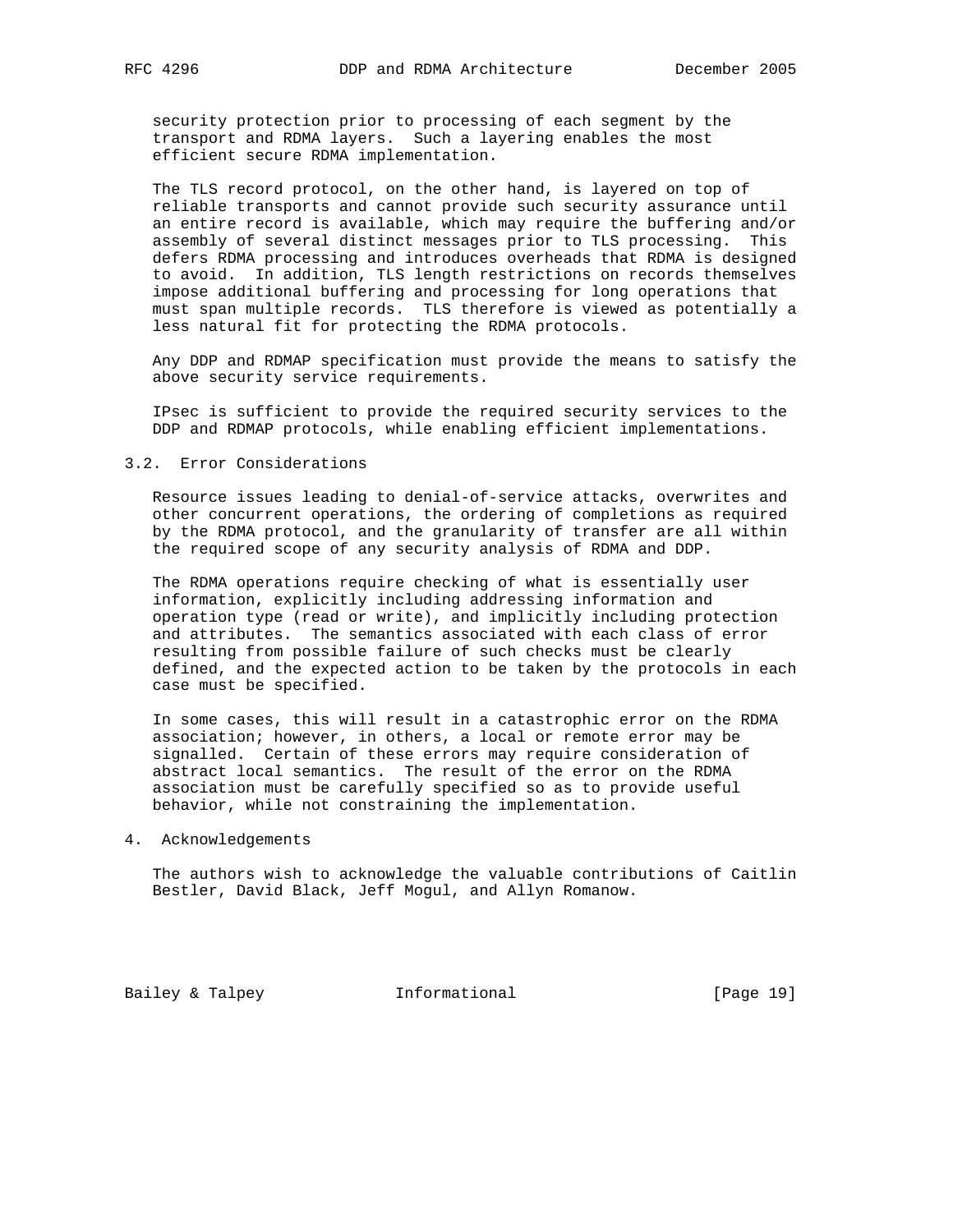security protection prior to processing of each segment by the transport and RDMA layers. Such a layering enables the most efficient secure RDMA implementation.

 The TLS record protocol, on the other hand, is layered on top of reliable transports and cannot provide such security assurance until an entire record is available, which may require the buffering and/or assembly of several distinct messages prior to TLS processing. This defers RDMA processing and introduces overheads that RDMA is designed to avoid. In addition, TLS length restrictions on records themselves impose additional buffering and processing for long operations that must span multiple records. TLS therefore is viewed as potentially a less natural fit for protecting the RDMA protocols.

 Any DDP and RDMAP specification must provide the means to satisfy the above security service requirements.

 IPsec is sufficient to provide the required security services to the DDP and RDMAP protocols, while enabling efficient implementations.

#### 3.2. Error Considerations

 Resource issues leading to denial-of-service attacks, overwrites and other concurrent operations, the ordering of completions as required by the RDMA protocol, and the granularity of transfer are all within the required scope of any security analysis of RDMA and DDP.

 The RDMA operations require checking of what is essentially user information, explicitly including addressing information and operation type (read or write), and implicitly including protection and attributes. The semantics associated with each class of error resulting from possible failure of such checks must be clearly defined, and the expected action to be taken by the protocols in each case must be specified.

 In some cases, this will result in a catastrophic error on the RDMA association; however, in others, a local or remote error may be signalled. Certain of these errors may require consideration of abstract local semantics. The result of the error on the RDMA association must be carefully specified so as to provide useful behavior, while not constraining the implementation.

#### 4. Acknowledgements

 The authors wish to acknowledge the valuable contributions of Caitlin Bestler, David Black, Jeff Mogul, and Allyn Romanow.

Bailey & Talpey **Informational** [Page 19]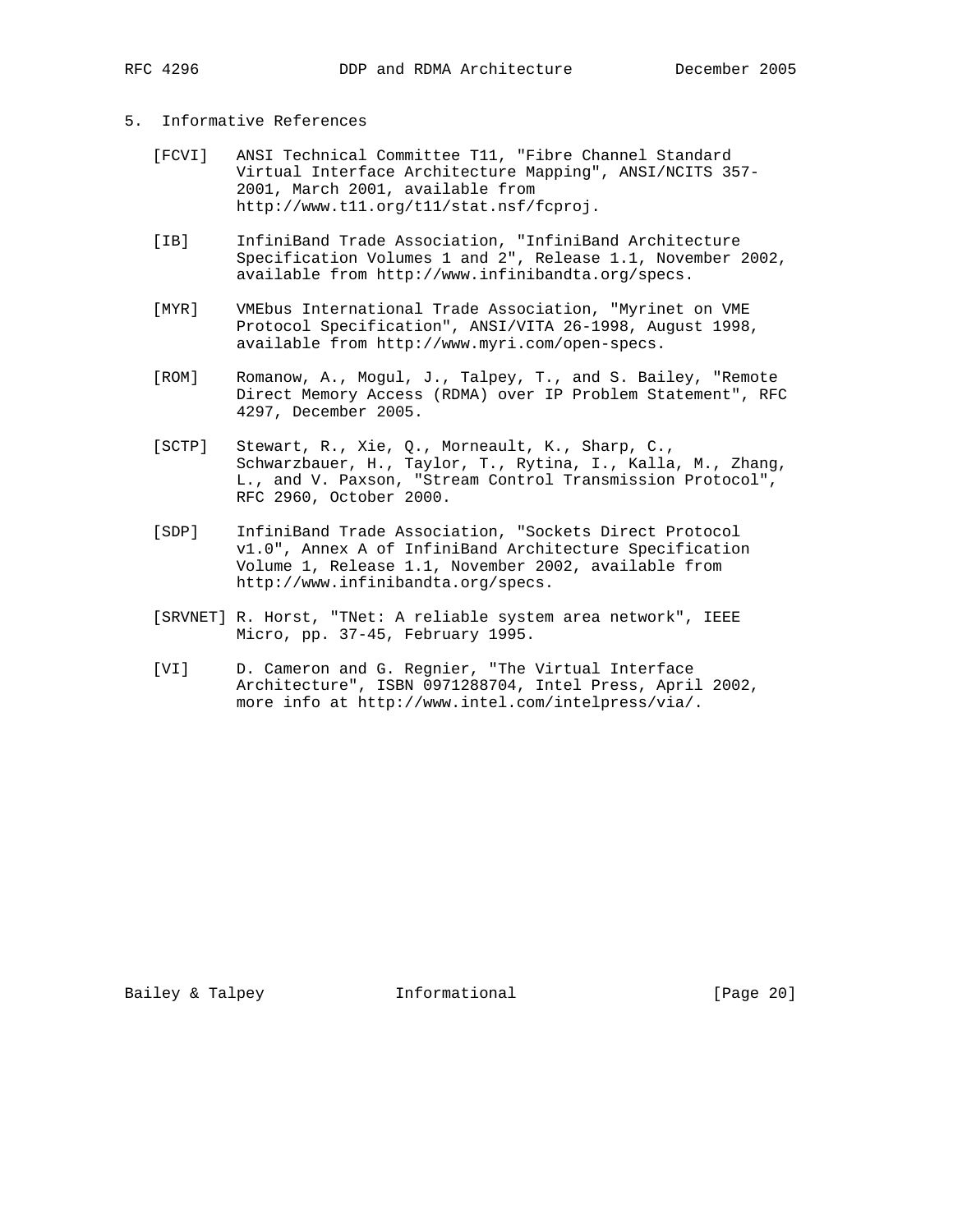## 5. Informative References

- [FCVI] ANSI Technical Committee T11, "Fibre Channel Standard Virtual Interface Architecture Mapping", ANSI/NCITS 357- 2001, March 2001, available from http://www.t11.org/t11/stat.nsf/fcproj.
- [IB] InfiniBand Trade Association, "InfiniBand Architecture Specification Volumes 1 and 2", Release 1.1, November 2002, available from http://www.infinibandta.org/specs.
- [MYR] VMEbus International Trade Association, "Myrinet on VME Protocol Specification", ANSI/VITA 26-1998, August 1998, available from http://www.myri.com/open-specs.
- [ROM] Romanow, A., Mogul, J., Talpey, T., and S. Bailey, "Remote Direct Memory Access (RDMA) over IP Problem Statement", RFC 4297, December 2005.
- [SCTP] Stewart, R., Xie, Q., Morneault, K., Sharp, C., Schwarzbauer, H., Taylor, T., Rytina, I., Kalla, M., Zhang, L., and V. Paxson, "Stream Control Transmission Protocol", RFC 2960, October 2000.
- [SDP] InfiniBand Trade Association, "Sockets Direct Protocol v1.0", Annex A of InfiniBand Architecture Specification Volume 1, Release 1.1, November 2002, available from http://www.infinibandta.org/specs.
- [SRVNET] R. Horst, "TNet: A reliable system area network", IEEE Micro, pp. 37-45, February 1995.
- [VI] D. Cameron and G. Regnier, "The Virtual Interface Architecture", ISBN 0971288704, Intel Press, April 2002, more info at http://www.intel.com/intelpress/via/.

Bailey & Talpey **Informational** [Page 20]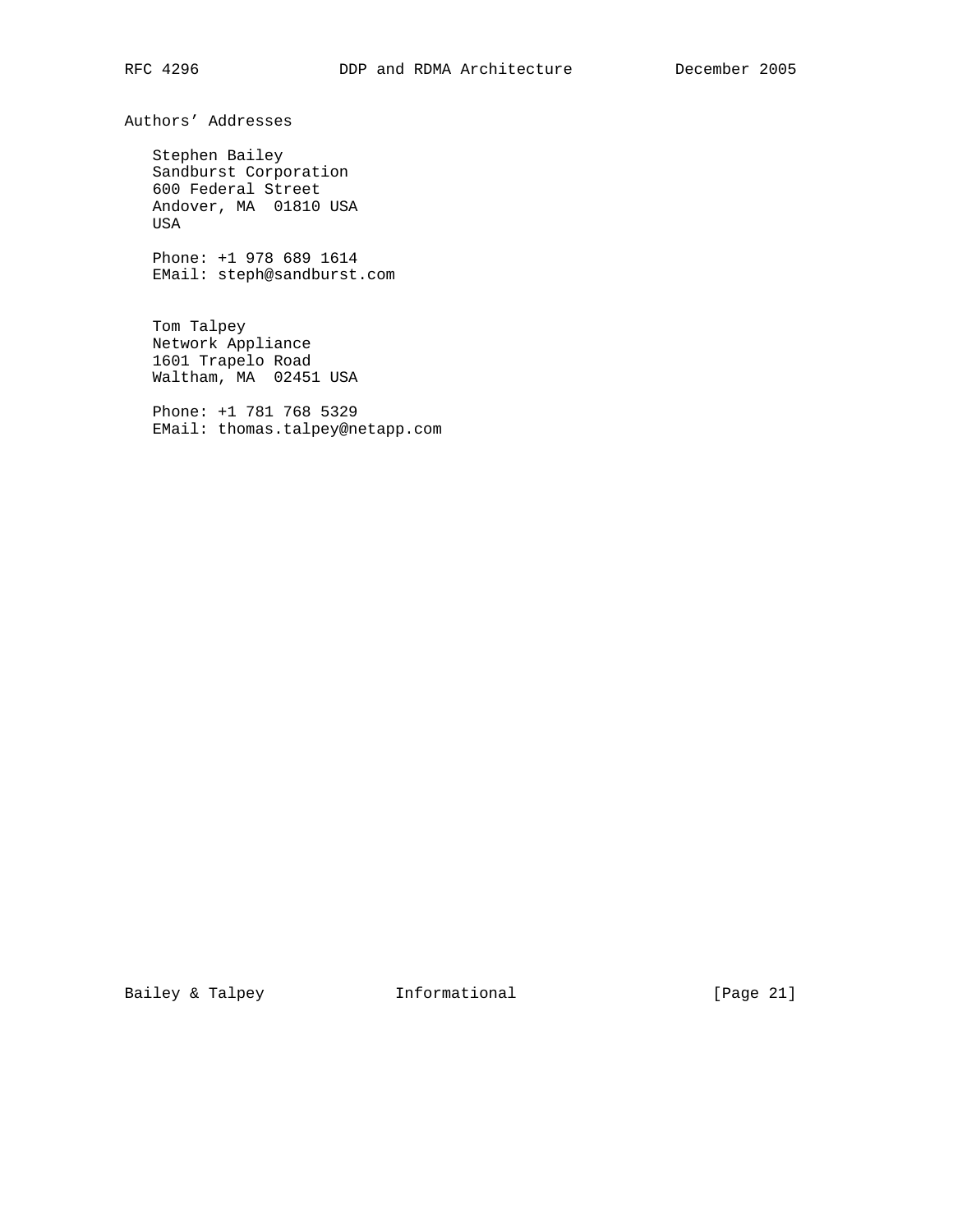Authors' Addresses

 Stephen Bailey Sandburst Corporation 600 Federal Street Andover, MA 01810 USA USA

 Phone: +1 978 689 1614 EMail: steph@sandburst.com

 Tom Talpey Network Appliance 1601 Trapelo Road Waltham, MA 02451 USA

 Phone: +1 781 768 5329 EMail: thomas.talpey@netapp.com